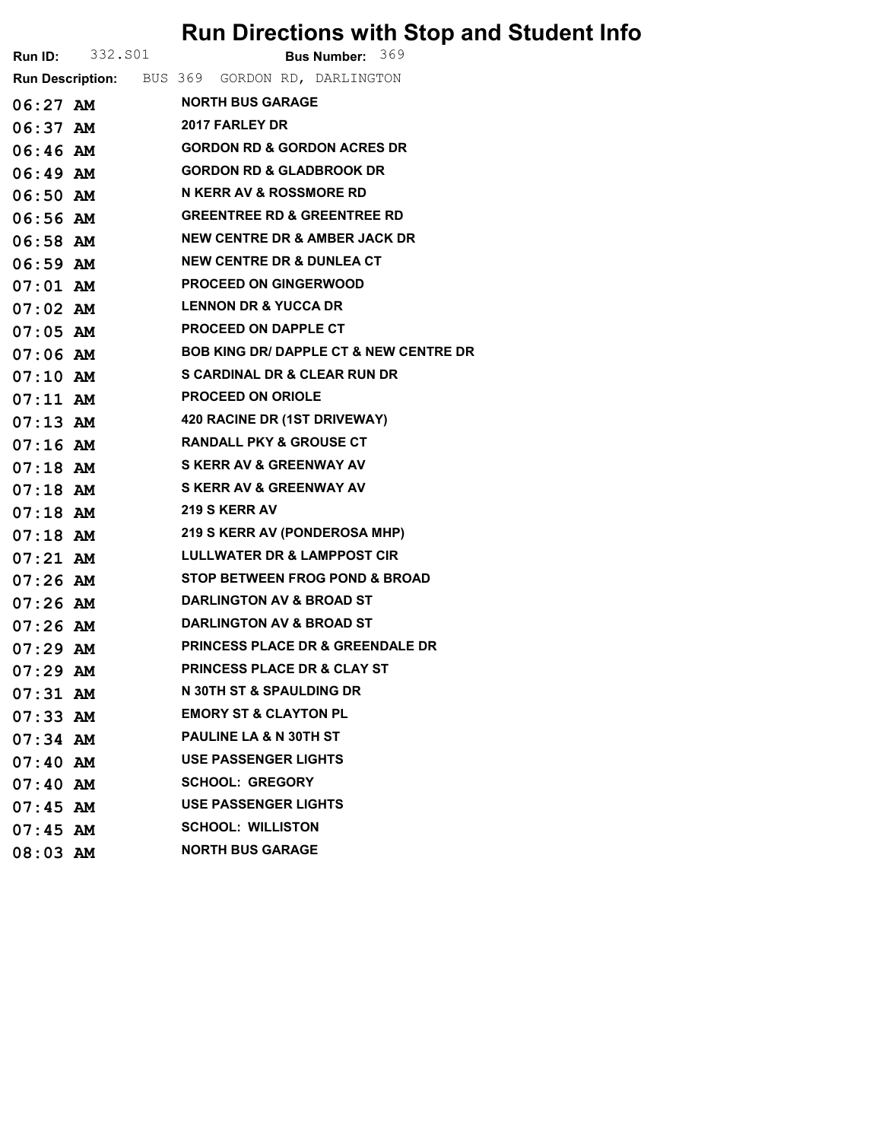## Run Directions with Stop and Student Info

|            | <b>Run ID:</b> 332.501 | Bus Number: 369                                |
|------------|------------------------|------------------------------------------------|
|            |                        | Run Description: BUS 369 GORDON RD, DARLINGTON |
|            | $06:27$ AM             | <b>NORTH BUS GARAGE</b>                        |
|            | $06:37$ AM             | 2017 FARLEY DR                                 |
|            | 06:46 AM               | <b>GORDON RD &amp; GORDON ACRES DR</b>         |
|            | $06:49$ AM             | <b>GORDON RD &amp; GLADBROOK DR</b>            |
|            | $06:50$ AM             | N KERR AV & ROSSMORE RD                        |
|            | 06:56 AM               | <b>GREENTREE RD &amp; GREENTREE RD</b>         |
|            | 06:58 AM               | <b>NEW CENTRE DR &amp; AMBER JACK DR</b>       |
|            | $06:59$ AM             | <b>NEW CENTRE DR &amp; DUNLEA CT</b>           |
|            |                        | 07:01 AM PROCEED ON GINGERWOOD                 |
|            |                        | <b>LENNON DR &amp; YUCCA DR</b>                |
|            | $07:05$ AM             | <b>PROCEED ON DAPPLE CT</b>                    |
|            |                        | 07:06 AM BOB KING DR/DAPPLE CT & NEW CENTRE DR |
|            | $07:10$ AM             | <b>S CARDINAL DR &amp; CLEAR RUN DR</b>        |
|            | $07:11$ AM             | <b>PROCEED ON ORIOLE</b>                       |
|            |                        | 07:13 AM 420 RACINE DR (1ST DRIVEWAY)          |
|            | $07:16$ AM             | <b>RANDALL PKY &amp; GROUSE CT</b>             |
|            | $07:18$ AM             | <b>S KERR AV &amp; GREENWAY AV</b>             |
|            | $07:18$ AM             | S KERR AV & GREENWAY AV                        |
|            | $07:18$ AM             | <b>219 S KERR AV</b>                           |
|            |                        | 07:18 AM 219 S KERR AV (PONDEROSA MHP)         |
|            | $07:21$ $AM$           | <b>LULLWATER DR &amp; LAMPPOST CIR</b>         |
|            | $07:26$ AM             | <b>STOP BETWEEN FROG POND &amp; BROAD</b>      |
|            | 07:26 AM               | <b>DARLINGTON AV &amp; BROAD ST</b>            |
|            | 07:26 AM               | <b>DARLINGTON AV &amp; BROAD ST</b>            |
| $07:29$ AM |                        | <b>PRINCESS PLACE DR &amp; GREENDALE DR</b>    |
| $07:29$ AM |                        | <b>PRINCESS PLACE DR &amp; CLAY ST</b>         |
| $07:31$ AM |                        | <b>N 30TH ST &amp; SPAULDING DR</b>            |
| $07:33$ AM |                        | <b>EMORY ST &amp; CLAYTON PL</b>               |
| $07:34$ AM |                        | PAULINE LA & N 30TH ST                         |
| 07:40~M    |                        | <b>USE PASSENGER LIGHTS</b>                    |
| $07:40$ AM |                        | <b>SCHOOL: GREGORY</b>                         |
| $07:45$ AM |                        | <b>USE PASSENGER LIGHTS</b>                    |
| $07:45$ AM |                        | <b>SCHOOL: WILLISTON</b>                       |
| $08:03$ AM |                        | <b>NORTH BUS GARAGE</b>                        |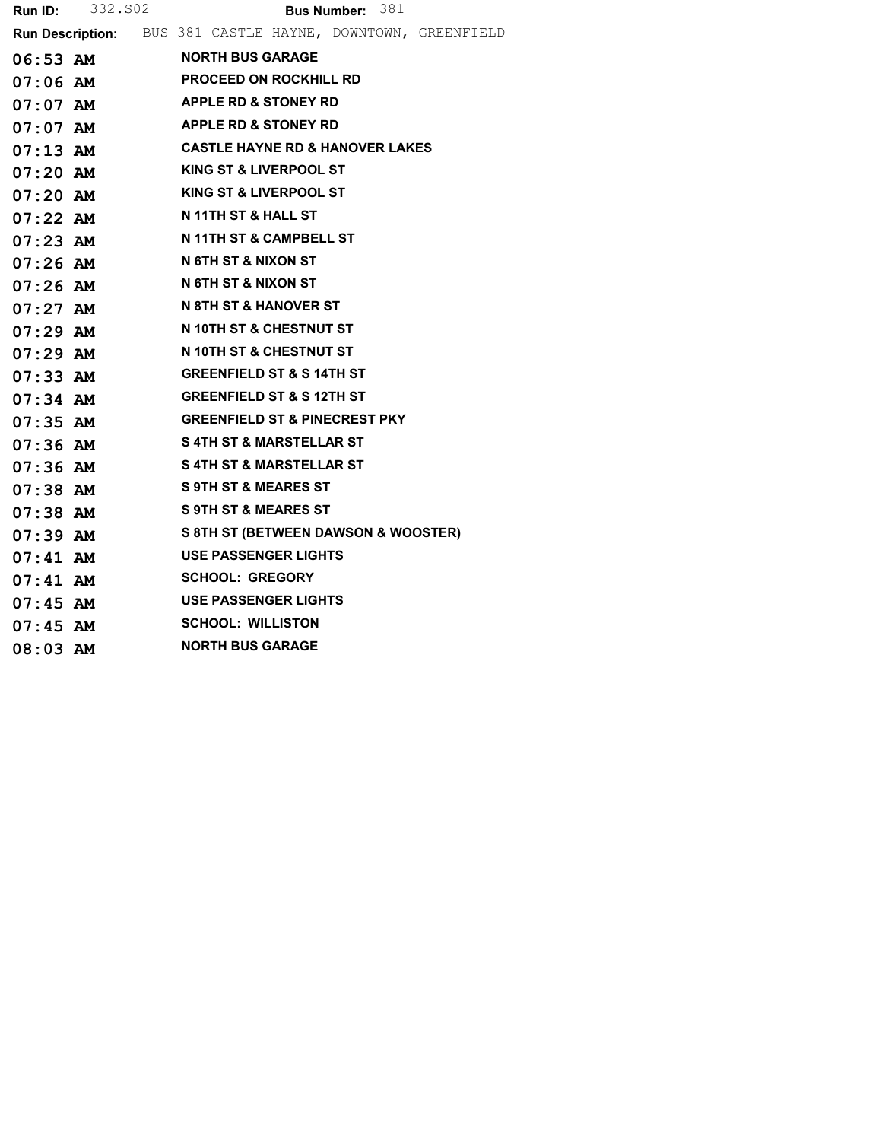**Run ID:** 332.S02 **Bus Number:** 381 Run Description: BUS 381 CASTLE HAYNE, DOWNTOWN, GREENFIELD 06:53 AM NORTH BUS GARAGE 07:06 AM PROCEED ON ROCKHILL RD 07:07 AM APPLE RD & STONEY RD 07:07 AM APPLE RD & STONEY RD 07:13 AM CASTLE HAYNE RD & HANOVER LAKES 07:20 AM KING ST & LIVERPOOL ST 07:20 AM KING ST & LIVERPOOL ST 07:22 AM N 11TH ST & HALL ST 07:23 AM N 11TH ST & CAMPBELL ST 07:26 AM N 6TH ST & NIXON ST 07:26 AM N 6TH ST & NIXON ST 07:27 AM N 8TH ST & HANOVER ST 07:29 AM N 10TH ST & CHESTNUT ST 07:29 AM N 10TH ST & CHESTNUT ST 07:33 AM GREENFIELD ST & S 14TH ST 07:34 AM GREENFIELD ST & S 12TH ST 07:35 AM GREENFIELD ST & PINECREST PKY 07:36 AM S4TH ST & MARSTELLAR ST 07:36 AM S4TH ST & MARSTELLAR ST 07:38 AM S 9TH ST & MEARES ST 07:38 AM S 9TH ST & MEARES ST 07:39 AM S 8TH ST (BETWEEN DAWSON & WOOSTER) 07:41 AM USE PASSENGER LIGHTS 07:41 AM SCHOOL: GREGORY 07:45 AM USE PASSENGER LIGHTS 07:45 AM SCHOOL: WILLISTON 08:03 AM NORTH BUS GARAGE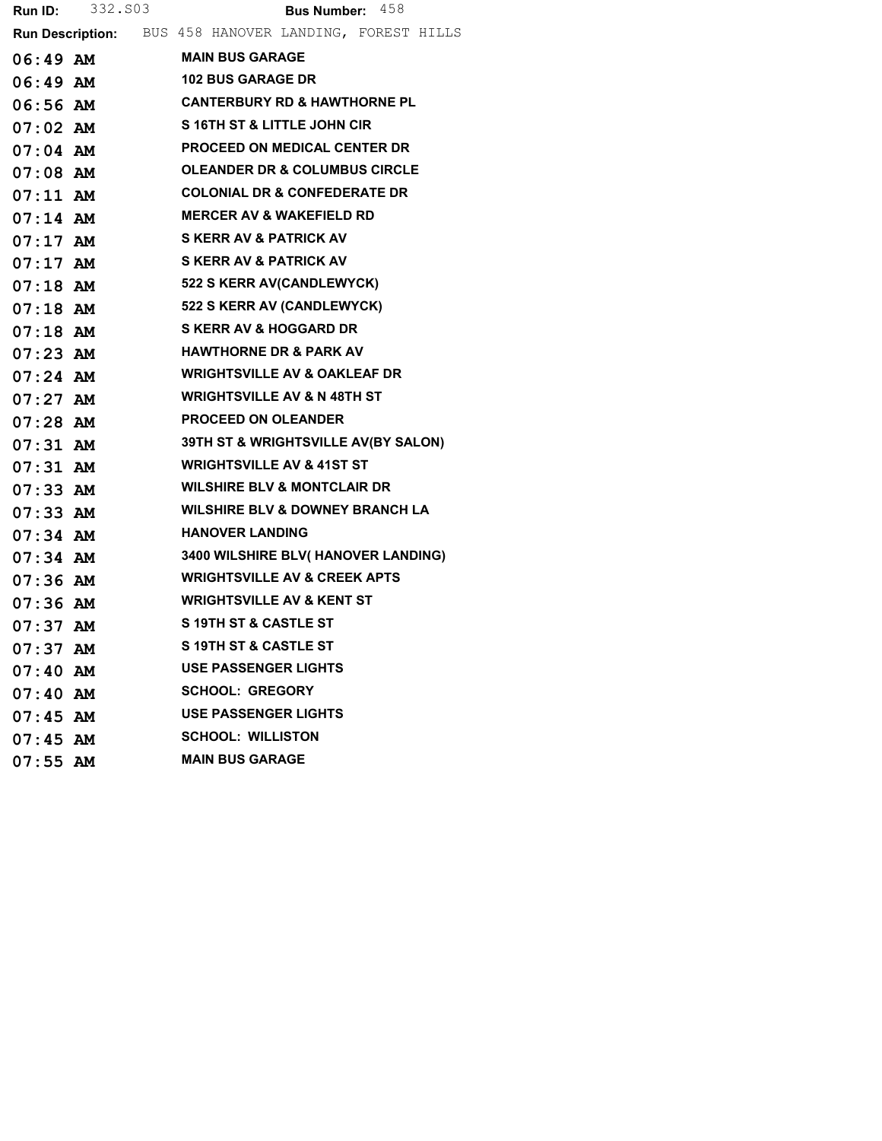|            | <b>Run ID:</b> 332.503 | <b>Bus Number:</b> $458$                               |
|------------|------------------------|--------------------------------------------------------|
|            |                        | Run Description: BUS 458 HANOVER LANDING, FOREST HILLS |
|            | 06:49 AM               | <b>MAIN BUS GARAGE</b>                                 |
|            | $06:49$ AM             | <b>102 BUS GARAGE DR</b>                               |
|            | 06:56 AM               | <b>CANTERBURY RD &amp; HAWTHORNE PL</b>                |
| 07:02 AM   |                        | S 16TH ST & LITTLE JOHN CIR                            |
|            | $07:04$ AM             | PROCEED ON MEDICAL CENTER DR                           |
| 07:08 AM   |                        | <b>OLEANDER DR &amp; COLUMBUS CIRCLE</b>               |
| 07:11 AM   |                        | <b>COLONIAL DR &amp; CONFEDERATE DR</b>                |
|            | $07:14$ AM             | <b>MERCER AV &amp; WAKEFIELD RD</b>                    |
| $07:17$ AM |                        | <b>S KERR AV &amp; PATRICK AV</b>                      |
| $07:17$ AM |                        | <b>S KERR AV &amp; PATRICK AV</b>                      |
|            |                        | 07:18 AM 522 S KERR AV(CANDLEWYCK)                     |
|            |                        | 07:18 AM 522 S KERR AV (CANDLEWYCK)                    |
|            |                        | 07:18 AM SKERR AV & HOGGARD DR                         |
| 07:23 AM   |                        | <b>HAWTHORNE DR &amp; PARK AV</b>                      |
|            | $07:24$ AM             | <b>WRIGHTSVILLE AV &amp; OAKLEAF DR</b>                |
| $07:27$ AM |                        | <b>WRIGHTSVILLE AV &amp; N 48TH ST</b>                 |
| 07:28 AM   |                        | <b>PROCEED ON OLEANDER</b>                             |
|            |                        | 07:31 AM 39TH ST & WRIGHTSVILLE AV(BY SALON)           |
| 07:31 AM   |                        | <b>WRIGHTSVILLE AV &amp; 41ST ST</b>                   |
| $07:33$ AM |                        | <b>WILSHIRE BLV &amp; MONTCLAIR DR</b>                 |
|            | 07:33 AM               | <b>WILSHIRE BLV &amp; DOWNEY BRANCH LA</b>             |
| $07:34$ AM |                        | <b>HANOVER LANDING</b>                                 |
| $07:34$ AM |                        | 3400 WILSHIRE BLV( HANOVER LANDING)                    |
|            | 07:36 AM               | <b>WRIGHTSVILLE AV &amp; CREEK APTS</b>                |
| 07:36 AM   |                        | <b>WRIGHTSVILLE AV &amp; KENT ST</b>                   |
| $07:37$ AM |                        | <b>S 19TH ST &amp; CASTLE ST</b>                       |
| $07:37$ AM |                        | S 19TH ST & CASTLE ST                                  |
| $07:40$ AM |                        | <b>USE PASSENGER LIGHTS</b>                            |
| $07:40$ AM |                        | <b>SCHOOL: GREGORY</b>                                 |
| $07:45$ AM |                        | <b>USE PASSENGER LIGHTS</b>                            |
| $07:45$ AM |                        | <b>SCHOOL: WILLISTON</b>                               |
| $07:55$ AM |                        | <b>MAIN BUS GARAGE</b>                                 |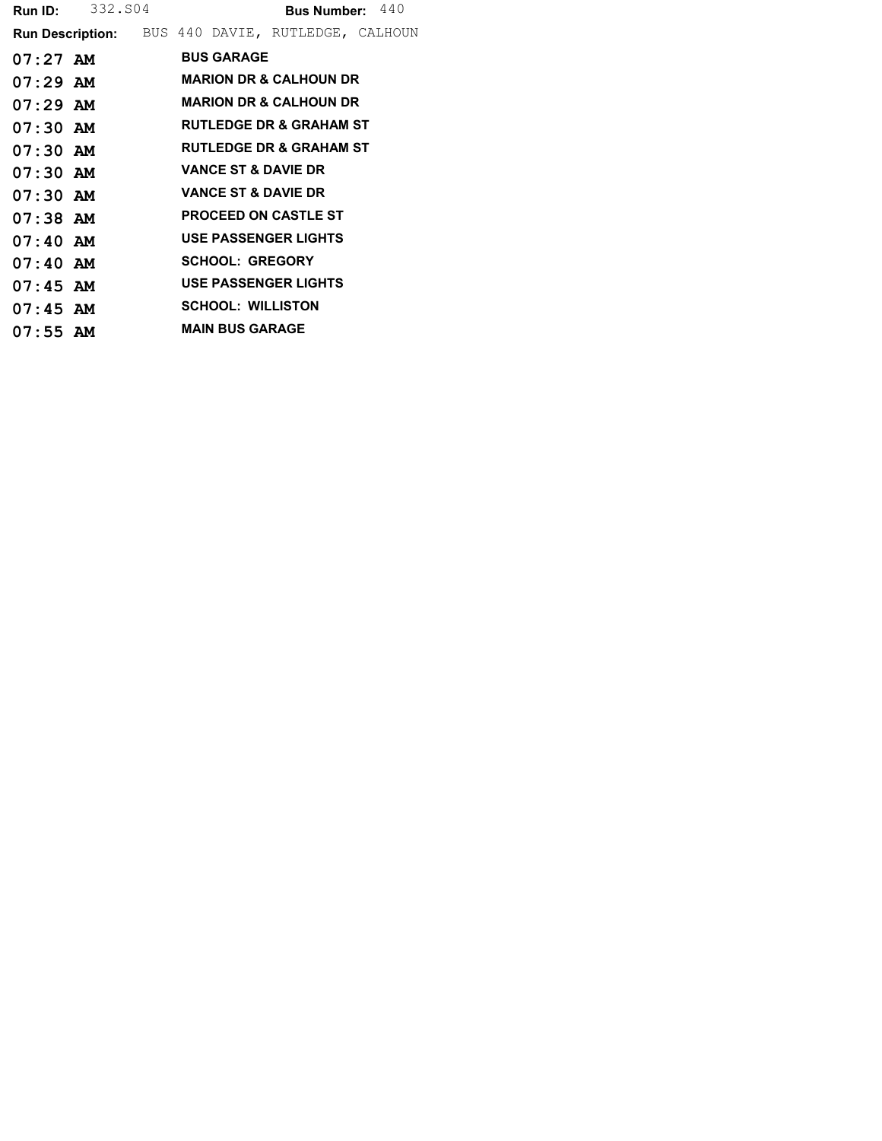|            | <b>Run ID:</b> 332.804 |                                | Bus Number: 440                                          |  |
|------------|------------------------|--------------------------------|----------------------------------------------------------|--|
|            |                        |                                | <b>Run Description:</b> BUS 440 DAVIE, RUTLEDGE, CALHOUN |  |
| $07:27$ AM |                        | <b>BUS GARAGE</b>              |                                                          |  |
| $07:29$ AM |                        |                                | <b>MARION DR &amp; CALHOUN DR</b>                        |  |
| $07:29$ AM |                        |                                | <b>MARION DR &amp; CALHOUN DR</b>                        |  |
| $07:30$ AM |                        |                                | <b>RUTLEDGE DR &amp; GRAHAM ST</b>                       |  |
| $07:30$ AM |                        |                                | <b>RUTLEDGE DR &amp; GRAHAM ST</b>                       |  |
| $07:30$ AM |                        | <b>VANCE ST &amp; DAVIE DR</b> |                                                          |  |
| $07:30$ AM |                        | <b>VANCE ST &amp; DAVIE DR</b> |                                                          |  |
| $07:38$ AM |                        |                                | <b>PROCEED ON CASTLE ST</b>                              |  |
| $07:40$ AM |                        |                                | <b>USE PASSENGER LIGHTS</b>                              |  |
| $07:40$ AM |                        | <b>SCHOOL: GREGORY</b>         |                                                          |  |
| $07:45$ AM |                        |                                | <b>USE PASSENGER LIGHTS</b>                              |  |
| $07:45$ AM |                        | <b>SCHOOL: WILLISTON</b>       |                                                          |  |
| $07:55$ AM |                        | <b>MAIN BUS GARAGE</b>         |                                                          |  |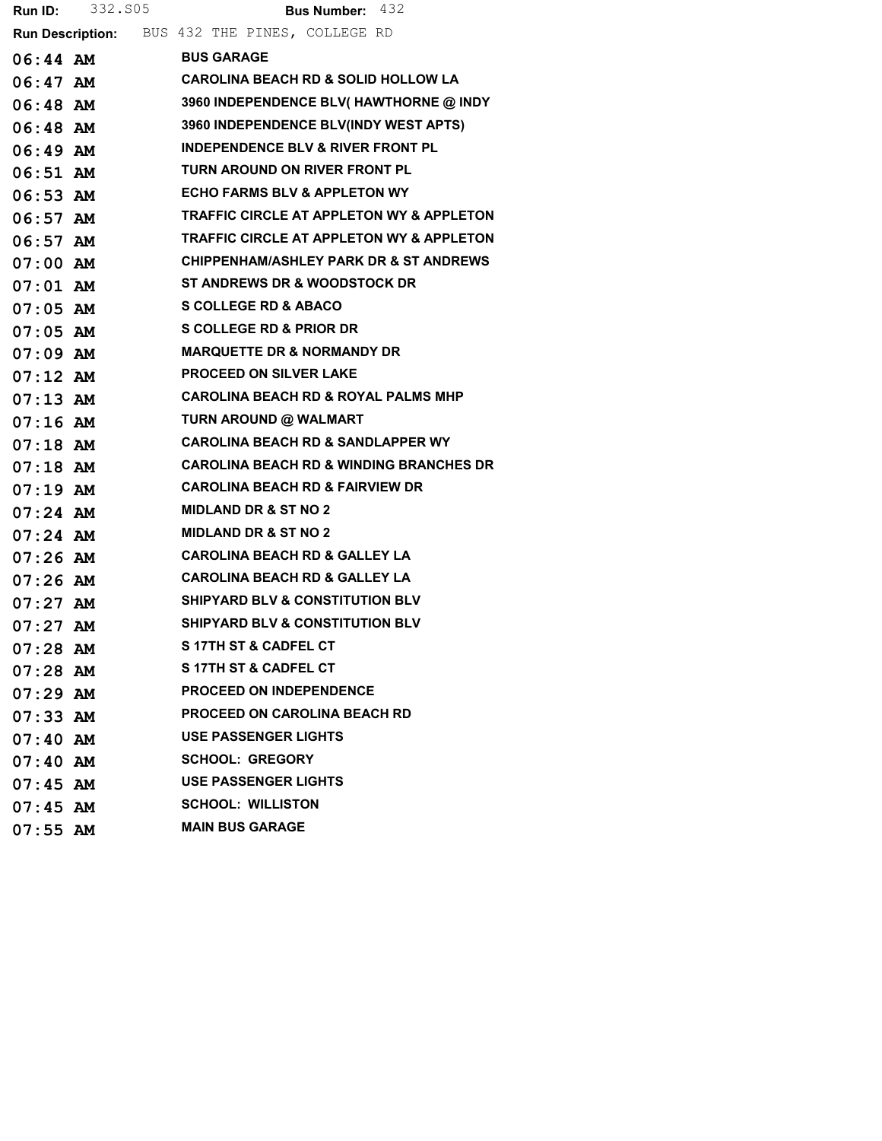|                       | <b>Run ID:</b> 332.805 | <b>Bus Number: 432</b>                              |
|-----------------------|------------------------|-----------------------------------------------------|
|                       |                        | Run Description: BUS 432 THE PINES, COLLEGE RD      |
|                       | 06:44 AM               | <b>BUS GARAGE</b>                                   |
|                       | $06:47$ AM             | <b>CAROLINA BEACH RD &amp; SOLID HOLLOW LA</b>      |
|                       | 06:48 AM               | 3960 INDEPENDENCE BLV( HAWTHORNE @ INDY             |
| 06:48 AM              |                        | 3960 INDEPENDENCE BLV(INDY WEST APTS)               |
|                       | 06:49 AM               | <b>INDEPENDENCE BLV &amp; RIVER FRONT PL</b>        |
| 06:51 AM              |                        | TURN AROUND ON RIVER FRONT PL                       |
| $06:53$ AM            |                        | <b>ECHO FARMS BLV &amp; APPLETON WY</b>             |
|                       | 06:57 AM               | TRAFFIC CIRCLE AT APPLETON WY & APPLETON            |
| $06:57$ AM            |                        | <b>TRAFFIC CIRCLE AT APPLETON WY &amp; APPLETON</b> |
| $07:00$ AM            |                        | <b>CHIPPENHAM/ASHLEY PARK DR &amp; ST ANDREWS</b>   |
| $07:01$ $\mathbf{AM}$ |                        | <b>ST ANDREWS DR &amp; WOODSTOCK DR</b>             |
| $07:05$ AM            |                        | <b>S COLLEGE RD &amp; ABACO</b>                     |
| $07:05$ AM            |                        | <b>S COLLEGE RD &amp; PRIOR DR</b>                  |
| $07:09$ $\mathbf{AM}$ |                        | <b>MARQUETTE DR &amp; NORMANDY DR</b>               |
| $07:12$ $\,$ $\rm AM$ |                        | <b>PROCEED ON SILVER LAKE</b>                       |
| $07:13$ AM            |                        | <b>CAROLINA BEACH RD &amp; ROYAL PALMS MHP</b>      |
| $07:16$ AM            |                        | TURN AROUND @ WALMART                               |
| $07:18$ AM            |                        | <b>CAROLINA BEACH RD &amp; SANDLAPPER WY</b>        |
| $07:18$ AM            |                        | <b>CAROLINA BEACH RD &amp; WINDING BRANCHES DR</b>  |
| $07:19$ AM            |                        | <b>CAROLINA BEACH RD &amp; FAIRVIEW DR</b>          |
| 07:24 AM              |                        | <b>MIDLAND DR &amp; ST NO 2</b>                     |
| $07:24$ AM            |                        | <b>MIDLAND DR &amp; ST NO 2</b>                     |
| $07:26$ AM            |                        | <b>CAROLINA BEACH RD &amp; GALLEY LA</b>            |
| 07:26 AM              |                        | <b>CAROLINA BEACH RD &amp; GALLEY LA</b>            |
| $07:27$ AM            |                        | <b>SHIPYARD BLV &amp; CONSTITUTION BLV</b>          |
| $07:27$ AM            |                        | <b>SHIPYARD BLV &amp; CONSTITUTION BLV</b>          |
| $07:28$ AM            |                        | S 17TH ST & CADFEL CT                               |
| $07:28$ AM            |                        | <b>S17TH ST &amp; CADFEL CT</b>                     |
| $07:29$ AM            |                        | <b>PROCEED ON INDEPENDENCE</b>                      |
| $07:33$ AM            |                        | <b>PROCEED ON CAROLINA BEACH RD</b>                 |
| $07:40$ AM            |                        | <b>USE PASSENGER LIGHTS</b>                         |
| $07:40$ AM            |                        | <b>SCHOOL: GREGORY</b>                              |
| $07:45$ AM            |                        | <b>USE PASSENGER LIGHTS</b>                         |
| $07:45$ AM            |                        | <b>SCHOOL: WILLISTON</b>                            |
| $07:55$ AM            |                        | <b>MAIN BUS GARAGE</b>                              |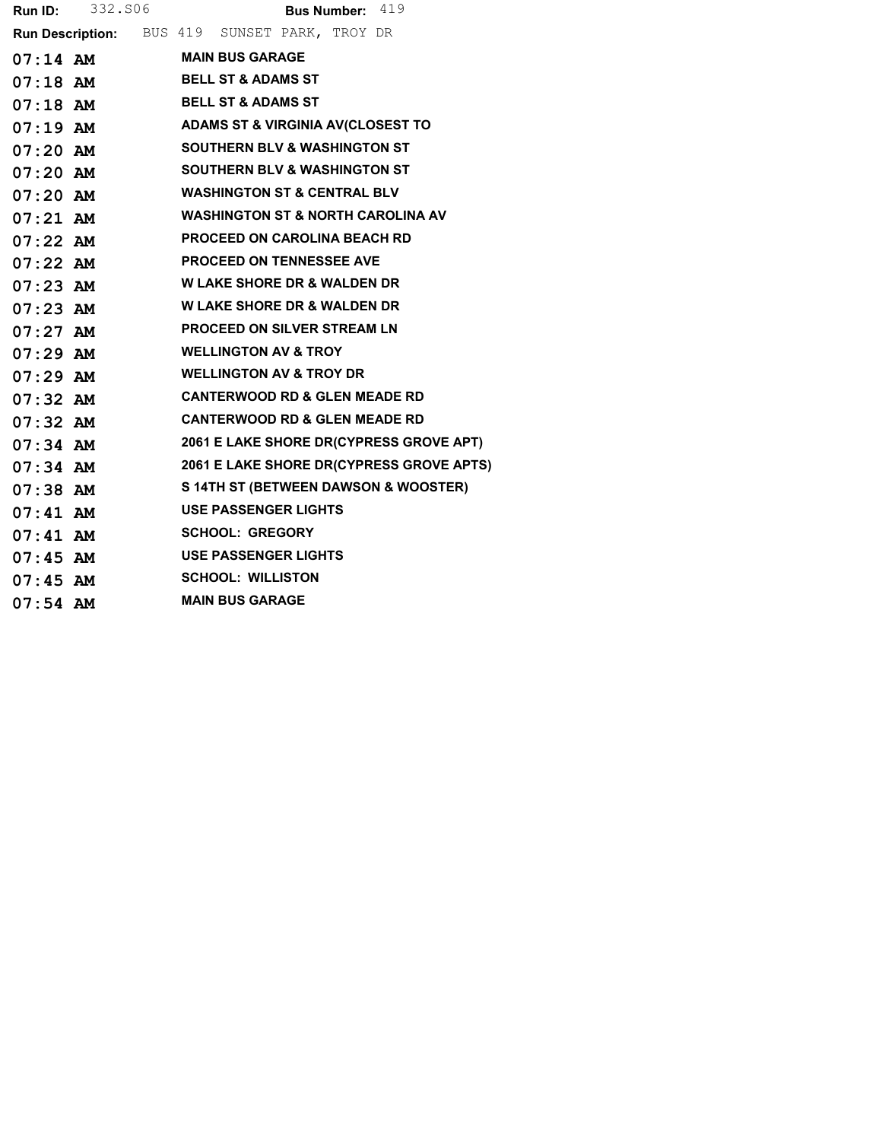|            | <b>Run ID:</b> 332.806 | Bus Number: 419                               |
|------------|------------------------|-----------------------------------------------|
|            |                        | Run Description: BUS 419 SUNSET PARK, TROY DR |
|            |                        | 07:14 AM MAIN BUS GARAGE                      |
|            |                        | 07:18 AM BELL ST & ADAMS ST                   |
|            |                        | 07:18 AM BELL ST & ADAMS ST                   |
|            |                        | 07:19 AM ADAMS ST & VIRGINIA AV(CLOSEST TO    |
|            | 07:20 AM               | <b>SOUTHERN BLV &amp; WASHINGTON ST</b>       |
|            | $07:20$ AM             | <b>SOUTHERN BLV &amp; WASHINGTON ST</b>       |
|            |                        | 07:20 AM WASHINGTON ST & CENTRAL BLV          |
| $07:21$ AM |                        | <b>WASHINGTON ST &amp; NORTH CAROLINA AV</b>  |
|            |                        | 07:22 AM PROCEED ON CAROLINA BEACH RD         |
|            |                        | 07:22 AM PROCEED ON TENNESSEE AVE             |
| $07:23$ AM |                        | <b>W LAKE SHORE DR &amp; WALDEN DR</b>        |
|            |                        | 07:23 AM W LAKE SHORE DR & WALDEN DR          |
|            | $07:27$ AM             | <b>PROCEED ON SILVER STREAM LN</b>            |
|            | $07:29$ AM             | <b>WELLINGTON AV &amp; TROY</b>               |
| $07:29$ AM |                        | <b>WELLINGTON AV &amp; TROY DR</b>            |
| $07:32$ AM |                        | <b>CANTERWOOD RD &amp; GLEN MEADE RD</b>      |
|            | $07:32$ AM             | <b>CANTERWOOD RD &amp; GLEN MEADE RD</b>      |
| $07:34$ AM |                        | 2061 E LAKE SHORE DR(CYPRESS GROVE APT)       |
| $07:34$ AM |                        | 2061 E LAKE SHORE DR(CYPRESS GROVE APTS)      |
|            | $07:38$ AM             | S 14TH ST (BETWEEN DAWSON & WOOSTER)          |
|            | $07:41$ AM             | <b>USE PASSENGER LIGHTS</b>                   |
|            |                        | 07:41 AM SCHOOL: GREGORY                      |
|            |                        | 07:45 AM USE PASSENGER LIGHTS                 |
|            | $07:45$ AM             | <b>SCHOOL: WILLISTON</b>                      |
| $07:54$ AM |                        | <b>MAIN BUS GARAGE</b>                        |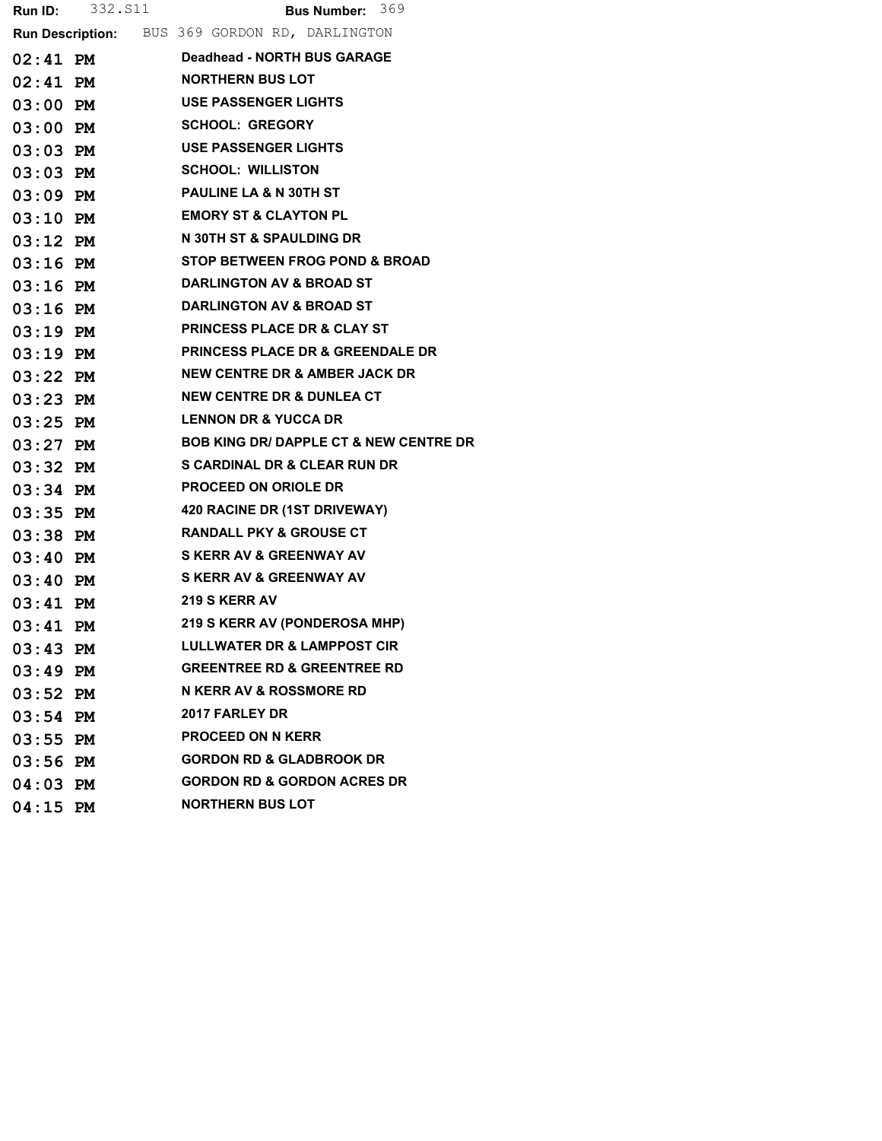|            |            | <b>Run ID:</b> 332. S11 <b>Bus Number:</b> 369        |
|------------|------------|-------------------------------------------------------|
|            |            | <b>Run Description:</b> BUS 369 GORDON RD, DARLINGTON |
|            | $02:41$ PM | Deadhead - NORTH BUS GARAGE                           |
|            |            | 02:41 PM NORTHERN BUS LOT                             |
|            | 03:00 PM   | <b>USE PASSENGER LIGHTS</b>                           |
|            | 03:00 PM   | <b>SCHOOL: GREGORY</b>                                |
|            | $03:03$ PM | <b>USE PASSENGER LIGHTS</b>                           |
| $03:03$ PM |            | <b>SCHOOL: WILLISTON</b>                              |
| $03:09$ PM |            | <b>PAULINE LA &amp; N 30TH ST</b>                     |
|            | $03:10$ PM | <b>EMORY ST &amp; CLAYTON PL</b>                      |
| $03:12$ PM |            | N 30TH ST & SPAULDING DR                              |
| $03:16$ PM |            | <b>STOP BETWEEN FROG POND &amp; BROAD</b>             |
|            |            | 03:16 PM DARLINGTON AV & BROAD ST                     |
| $03:16$ PM |            | <b>DARLINGTON AV &amp; BROAD ST</b>                   |
| $03:19$ PM |            | <b>PRINCESS PLACE DR &amp; CLAY ST</b>                |
| $03:19$ PM |            | <b>PRINCESS PLACE DR &amp; GREENDALE DR</b>           |
| $03:22$ PM |            | <b>NEW CENTRE DR &amp; AMBER JACK DR</b>              |
| $03:23$ PM |            | <b>NEW CENTRE DR &amp; DUNLEA CT</b>                  |
| $03:25$ PM |            | <b>LENNON DR &amp; YUCCA DR</b>                       |
|            | $03:27$ PM | <b>BOB KING DR/ DAPPLE CT &amp; NEW CENTRE DR</b>     |
| $03:32$ PM |            | <b>S CARDINAL DR &amp; CLEAR RUN DR</b>               |
| $03:34$ PM |            | <b>PROCEED ON ORIOLE DR</b>                           |
|            |            | 03:35 PM 420 RACINE DR (1ST DRIVEWAY)                 |
| $03:38$ PM |            | <b>RANDALL PKY &amp; GROUSE CT</b>                    |
| $03:40$ PM |            | <b>S KERR AV &amp; GREENWAY AV</b>                    |
|            | 03:40 PM   | <b>S KERR AV &amp; GREENWAY AV</b>                    |
| $03:41$ PM |            | 219 S KERR AV                                         |
| $03:41$ PM |            | 219 S KERR AV (PONDEROSA MHP)                         |
| $03:43$ PM |            | <b>LULLWATER DR &amp; LAMPPOST CIR</b>                |
| $03:49$ PM |            | <b>GREENTREE RD &amp; GREENTREE RD</b>                |
| $03:52$ PM |            | <b>N KERR AV &amp; ROSSMORE RD</b>                    |
| $03:54$ PM |            | 2017 FARLEY DR                                        |
| $03:55$ PM |            | <b>PROCEED ON N KERR</b>                              |
| $03:56$ PM |            | <b>GORDON RD &amp; GLADBROOK DR</b>                   |
| $04:03$ PM |            | <b>GORDON RD &amp; GORDON ACRES DR</b>                |
| $04:15$ PM |            | <b>NORTHERN BUS LOT</b>                               |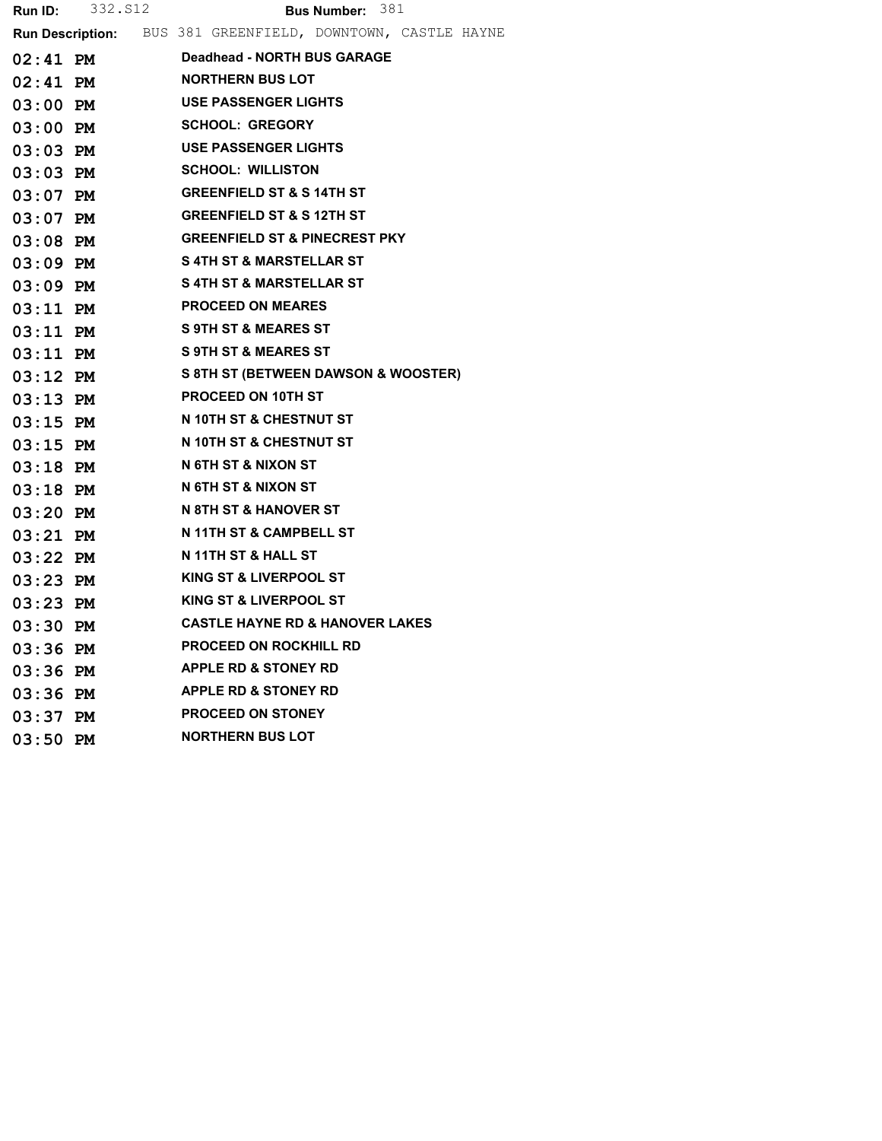| Run ID:    | 332.S12 | Bus Number: 381                                             |
|------------|---------|-------------------------------------------------------------|
|            |         | Run Description: BUS 381 GREENFIELD, DOWNTOWN, CASTLE HAYNE |
| 02:41 PM   |         | Deadhead - NORTH BUS GARAGE                                 |
| $02:41$ PM |         | <b>NORTHERN BUS LOT</b>                                     |
| 03:00 PM   |         | <b>USE PASSENGER LIGHTS</b>                                 |
| $03:00$ PM |         | <b>SCHOOL: GREGORY</b>                                      |
| 03:03 PM   |         | <b>USE PASSENGER LIGHTS</b>                                 |
| $03:03$ PM |         | <b>SCHOOL: WILLISTON</b>                                    |
| $03:07$ PM |         | <b>GREENFIELD ST &amp; S 14TH ST</b>                        |
| $03:07$ PM |         | <b>GREENFIELD ST &amp; S 12TH ST</b>                        |
| $03:08$ PM |         | <b>GREENFIELD ST &amp; PINECREST PKY</b>                    |
| 03:09 PM   |         | <b>S4TH ST &amp; MARSTELLAR ST</b>                          |
| $03:09$ PM |         | S 4TH ST & MARSTELLAR ST                                    |
| $03:11$ PM |         | <b>PROCEED ON MEARES</b>                                    |
| $03:11$ PM |         | <b>S 9TH ST &amp; MEARES ST</b>                             |
| $03:11$ PM |         | <b>S 9TH ST &amp; MEARES ST</b>                             |
| $03:12$ PM |         | S 8TH ST (BETWEEN DAWSON & WOOSTER)                         |
| $03:13$ PM |         | <b>PROCEED ON 10TH ST</b>                                   |
| $03:15$ PM |         | N 10TH ST & CHESTNUT ST                                     |
| $03:15$ PM |         | N 10TH ST & CHESTNUT ST                                     |
| $03:18$ PM |         | N 6TH ST & NIXON ST                                         |
| $03:18$ PM |         | N 6TH ST & NIXON ST                                         |
| $03:20$ PM |         | N 8TH ST & HANOVER ST                                       |
| 03:21 PM   |         | N 11TH ST & CAMPBELL ST                                     |
| $03:22$ PM |         | N 11TH ST & HALL ST                                         |
| 03:23 PM   |         | <b>KING ST &amp; LIVERPOOL ST</b>                           |
| $03:23$ PM |         | KING ST & LIVERPOOL ST                                      |
| $03:30$ PM |         | <b>CASTLE HAYNE RD &amp; HANOVER LAKES</b>                  |
| $03:36$ PM |         | <b>PROCEED ON ROCKHILL RD</b>                               |
| $03:36$ PM |         | <b>APPLE RD &amp; STONEY RD</b>                             |
| $03:36$ PM |         | <b>APPLE RD &amp; STONEY RD</b>                             |
| $03:37$ PM |         | <b>PROCEED ON STONEY</b>                                    |
| $03:50$ PM |         | <b>NORTHERN BUS LOT</b>                                     |
|            |         |                                                             |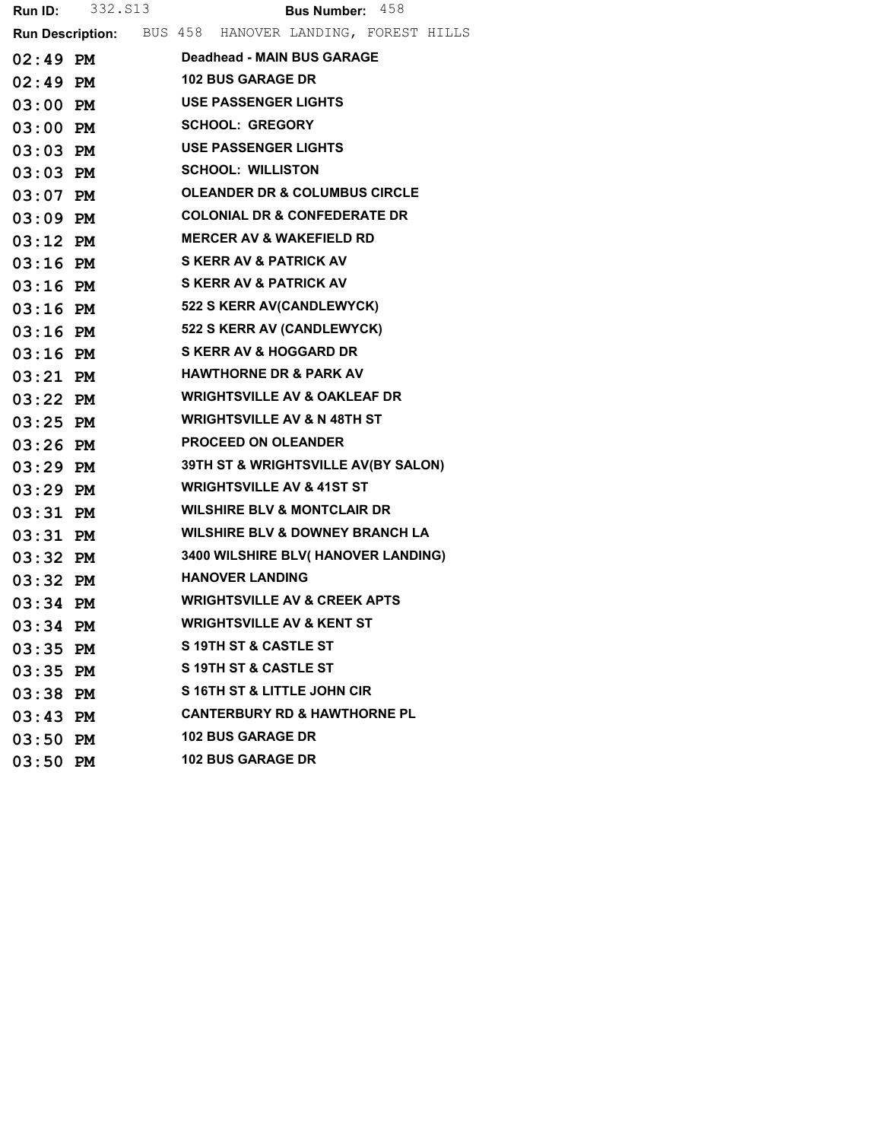|            | <b>Run ID:</b> 332. S13 | <b>Bus Number:</b> $458$                               |
|------------|-------------------------|--------------------------------------------------------|
|            |                         | Run Description: BUS 458 HANOVER LANDING, FOREST HILLS |
| 02:49 PM   |                         | <b>Deadhead - MAIN BUS GARAGE</b>                      |
|            | 02:49 PM                | <b>102 BUS GARAGE DR</b>                               |
| 03:00 PM   |                         | <b>USE PASSENGER LIGHTS</b>                            |
| 03:00 PM   |                         | <b>SCHOOL: GREGORY</b>                                 |
|            | $03:03$ PM              | <b>USE PASSENGER LIGHTS</b>                            |
| 03:03 PM   |                         | <b>SCHOOL: WILLISTON</b>                               |
| 03:07 PM   |                         | <b>OLEANDER DR &amp; COLUMBUS CIRCLE</b>               |
|            | 03:09 PM                | <b>COLONIAL DR &amp; CONFEDERATE DR</b>                |
| 03:12 PM   |                         | <b>MERCER AV &amp; WAKEFIELD RD</b>                    |
| 03:16 PM   |                         | <b>S KERR AV &amp; PATRICK AV</b>                      |
| 03:16 PM   |                         | <b>S KERR AV &amp; PATRICK AV</b>                      |
|            |                         | 03:16 PM 522 S KERR AV(CANDLEWYCK)                     |
|            | 03:16 PM                | <b>522 S KERR AV (CANDLEWYCK)</b>                      |
| 03:16 PM   |                         | <b>S KERR AV &amp; HOGGARD DR</b>                      |
|            | $03:21$ PM              | <b>HAWTHORNE DR &amp; PARK AV</b>                      |
| 03:22 PM   |                         | <b>WRIGHTSVILLE AV &amp; OAKLEAF DR</b>                |
| 03:25 PM   |                         | <b>WRIGHTSVILLE AV &amp; N 48TH ST</b>                 |
|            | 03:26 PM                | <b>PROCEED ON OLEANDER</b>                             |
| 03:29 PM   |                         | 39TH ST & WRIGHTSVILLE AV(BY SALON)                    |
| 03:29 PM   |                         | <b>WRIGHTSVILLE AV &amp; 41ST ST</b>                   |
| 03:31 PM   |                         | <b>WILSHIRE BLV &amp; MONTCLAIR DR</b>                 |
| 03:31 PM   |                         | <b>WILSHIRE BLV &amp; DOWNEY BRANCH LA</b>             |
| 03:32 PM   |                         | <b>3400 WILSHIRE BLV( HANOVER LANDING)</b>             |
| 03:32 PM   |                         | <b>HANOVER LANDING</b>                                 |
| 03:34 PM   |                         | <b>WRIGHTSVILLE AV &amp; CREEK APTS</b>                |
| $03:34$ PM |                         | <b>WRIGHTSVILLE AV &amp; KENT ST</b>                   |
| $03:35$ PM |                         | S 19TH ST & CASTLE ST                                  |
| $03:35$ PM |                         | <b>S19TH ST &amp; CASTLE ST</b>                        |
| 03:38 PM   |                         | S 16TH ST & LITTLE JOHN CIR                            |
| 03:43 PM   |                         | <b>CANTERBURY RD &amp; HAWTHORNE PL</b>                |
| $03:50$ PM |                         | <b>102 BUS GARAGE DR</b>                               |
| 03:50 PM   |                         | <b>102 BUS GARAGE DR</b>                               |
|            |                         |                                                        |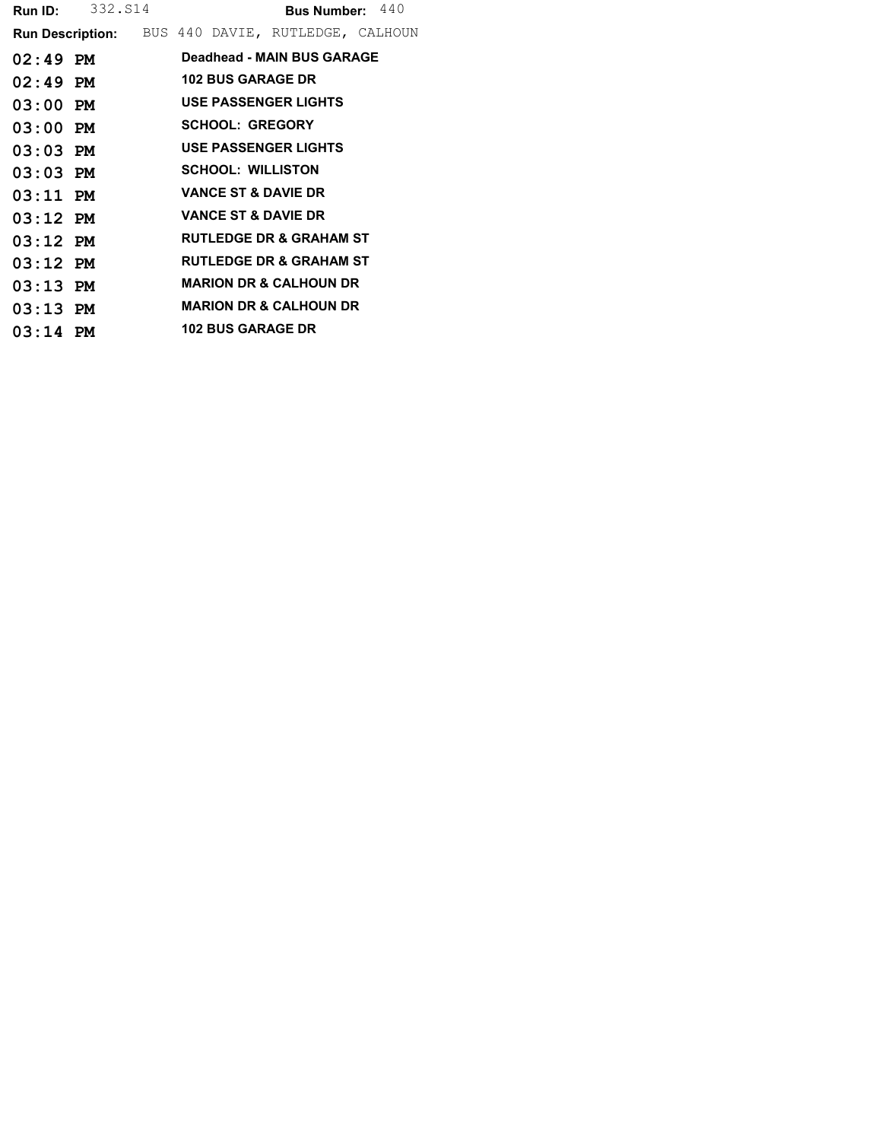|            | <b>Run ID:</b> 332. S14 |  |                          | <b>Bus Number:</b> $440$                                 |  |
|------------|-------------------------|--|--------------------------|----------------------------------------------------------|--|
|            |                         |  |                          | <b>Run Description:</b> BUS 440 DAVIE, RUTLEDGE, CALHOUN |  |
| $02:49$ PM |                         |  |                          | Deadhead - MAIN BUS GARAGE                               |  |
| $02:49$ PM |                         |  | <b>102 BUS GARAGE DR</b> |                                                          |  |
| $03:00$ PM |                         |  |                          | USE PASSENGER LIGHTS                                     |  |
| $03:00$ PM |                         |  | <b>SCHOOL: GREGORY</b>   |                                                          |  |
| $03:03$ PM |                         |  |                          | <b>USE PASSENGER LIGHTS</b>                              |  |
| $03:03$ PM |                         |  | <b>SCHOOL: WILLISTON</b> |                                                          |  |
| $03:11$ PM |                         |  |                          | <b>VANCE ST &amp; DAVIE DR</b>                           |  |
| $03:12$ PM |                         |  |                          | <b>VANCE ST &amp; DAVIE DR</b>                           |  |
| $03:12$ PM |                         |  |                          | <b>RUTLEDGE DR &amp; GRAHAM ST</b>                       |  |
| $03:12$ PM |                         |  |                          | <b>RUTLEDGE DR &amp; GRAHAM ST</b>                       |  |
| $03:13$ PM |                         |  |                          | <b>MARION DR &amp; CALHOUN DR</b>                        |  |
| $03:13$ PM |                         |  |                          | <b>MARION DR &amp; CALHOUN DR</b>                        |  |
| $03:14$ PM |                         |  | <b>102 BUS GARAGE DR</b> |                                                          |  |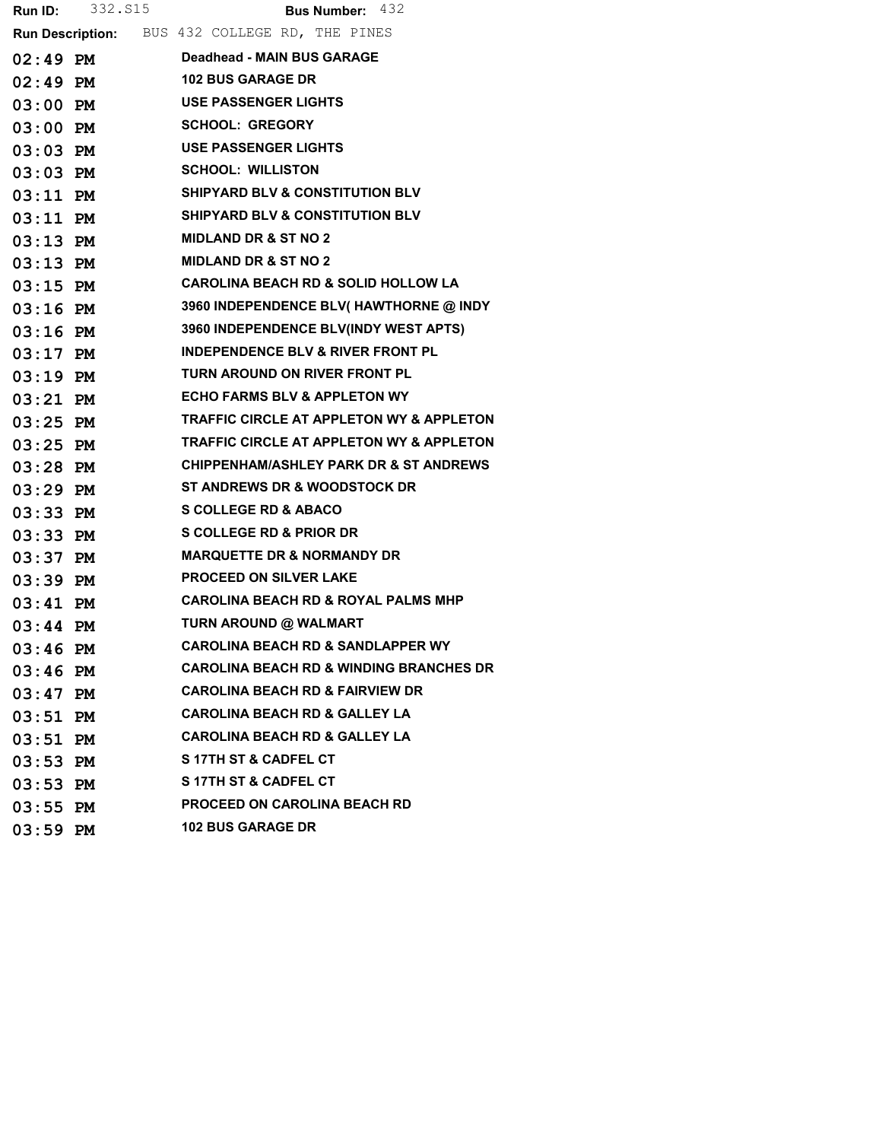| Run ID:    | 332.S15    | Bus Number: 432                                     |
|------------|------------|-----------------------------------------------------|
|            |            | Run Description: BUS 432 COLLEGE RD, THE PINES      |
| $02:49$ PM |            | Deadhead - MAIN BUS GARAGE                          |
| $02:49$ PM |            | <b>102 BUS GARAGE DR</b>                            |
| $03:00$ PM |            | <b>USE PASSENGER LIGHTS</b>                         |
| $03:00$ PM |            | <b>SCHOOL: GREGORY</b>                              |
| 03:03 PM   |            | <b>USE PASSENGER LIGHTS</b>                         |
| $03:03$ PM |            | <b>SCHOOL: WILLISTON</b>                            |
| $03:11$ PM |            | <b>SHIPYARD BLV &amp; CONSTITUTION BLV</b>          |
|            | $03:11$ PM | <b>SHIPYARD BLV &amp; CONSTITUTION BLV</b>          |
| $03:13$ PM |            | <b>MIDLAND DR &amp; ST NO 2</b>                     |
| $03:13$ PM |            | <b>MIDLAND DR &amp; ST NO 2</b>                     |
| $03:15$ PM |            | <b>CAROLINA BEACH RD &amp; SOLID HOLLOW LA</b>      |
|            | $03:16$ PM | 3960 INDEPENDENCE BLV( HAWTHORNE @ INDY             |
| $03:16$ PM |            | 3960 INDEPENDENCE BLV(INDY WEST APTS)               |
| $03:17$ PM |            | <b>INDEPENDENCE BLV &amp; RIVER FRONT PL</b>        |
| $03:19$ PM |            | TURN AROUND ON RIVER FRONT PL                       |
| $03:21$ PM |            | <b>ECHO FARMS BLV &amp; APPLETON WY</b>             |
| $03:25$ PM |            | <b>TRAFFIC CIRCLE AT APPLETON WY &amp; APPLETON</b> |
| $03:25$ PM |            | TRAFFIC CIRCLE AT APPLETON WY & APPLETON            |
| $03:28$ PM |            | <b>CHIPPENHAM/ASHLEY PARK DR &amp; ST ANDREWS</b>   |
| 03:29 PM   |            | <b>ST ANDREWS DR &amp; WOODSTOCK DR</b>             |
| $03:33$ PM |            | <b>S COLLEGE RD &amp; ABACO</b>                     |
| $03:33$ PM |            | <b>S COLLEGE RD &amp; PRIOR DR</b>                  |
| $03:37$ PM |            | <b>MARQUETTE DR &amp; NORMANDY DR</b>               |
| $03:39$ PM |            | <b>PROCEED ON SILVER LAKE</b>                       |
| $03:41$ PM |            | <b>CAROLINA BEACH RD &amp; ROYAL PALMS MHP</b>      |
| $03:44$ PM |            | TURN AROUND @ WALMART                               |
| $03:46$ PM |            | <b>CAROLINA BEACH RD &amp; SANDLAPPER WY</b>        |
| $03:46$ PM |            | <b>CAROLINA BEACH RD &amp; WINDING BRANCHES DR</b>  |
| $03:47$ PM |            | <b>CAROLINA BEACH RD &amp; FAIRVIEW DR</b>          |
| $03:51$ PM |            | <b>CAROLINA BEACH RD &amp; GALLEY LA</b>            |
| $03:51$ PM |            | <b>CAROLINA BEACH RD &amp; GALLEY LA</b>            |
| $03:53$ PM |            | <b>S17TH ST &amp; CADFEL CT</b>                     |
| $03:53$ PM |            | S 17TH ST & CADFEL CT                               |
| $03:55$ PM |            | <b>PROCEED ON CAROLINA BEACH RD</b>                 |
| $03:59$ PM |            | <b>102 BUS GARAGE DR</b>                            |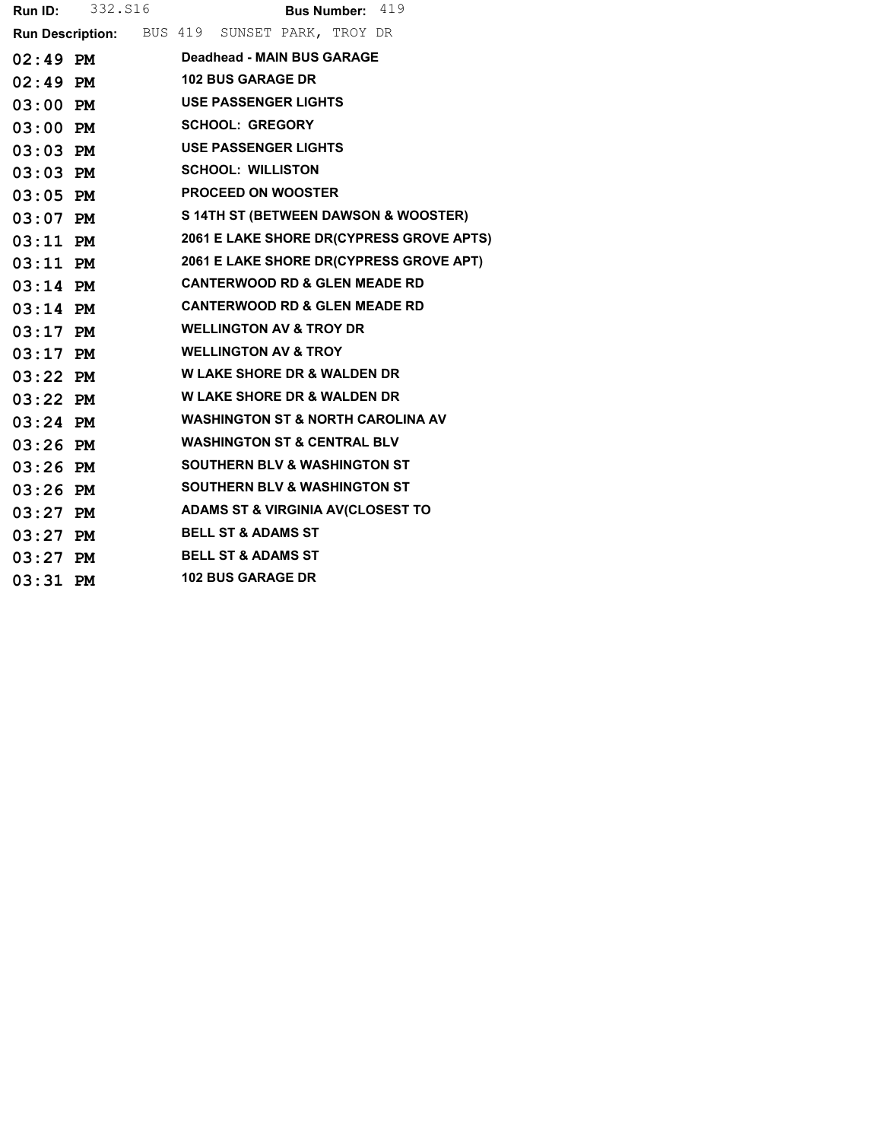|            | <b>Run ID:</b> 332. S16                       |                                              | Bus Number: 419 |                                               |
|------------|-----------------------------------------------|----------------------------------------------|-----------------|-----------------------------------------------|
|            | Run Description: BUS 419 SUNSET PARK, TROY DR |                                              |                 |                                               |
|            | 02:49 PM Deadhead - MAIN BUS GARAGE           |                                              |                 |                                               |
|            | $02:49$ PM                                    | <b>102 BUS GARAGE DR</b>                     |                 |                                               |
| $03:00$ PM |                                               | <b>USE PASSENGER LIGHTS</b>                  |                 |                                               |
| 03:00 PM   |                                               | <b>SCHOOL: GREGORY</b>                       |                 |                                               |
|            | $03:03$ PM                                    | <b>USE PASSENGER LIGHTS</b>                  |                 |                                               |
| $03:03$ PM |                                               | <b>SCHOOL: WILLISTON</b>                     |                 |                                               |
| $03:05$ PM |                                               | <b>PROCEED ON WOOSTER</b>                    |                 |                                               |
|            |                                               |                                              |                 | 03:07 PM S 14TH ST (BETWEEN DAWSON & WOOSTER) |
|            | $03:11$ PM                                    |                                              |                 | 2061 E LAKE SHORE DR(CYPRESS GROVE APTS)      |
|            | $03:11$ PM                                    |                                              |                 | 2061 E LAKE SHORE DR(CYPRESS GROVE APT)       |
| $03:14$ PM |                                               | <b>CANTERWOOD RD &amp; GLEN MEADE RD</b>     |                 |                                               |
| $03:14$ PM |                                               | <b>CANTERWOOD RD &amp; GLEN MEADE RD</b>     |                 |                                               |
| $03:17$ PM |                                               | <b>WELLINGTON AV &amp; TROY DR</b>           |                 |                                               |
| $03:17$ PM |                                               | <b>WELLINGTON AV &amp; TROY</b>              |                 |                                               |
|            | $03:22$ PM                                    | <b>W LAKE SHORE DR &amp; WALDEN DR</b>       |                 |                                               |
| $03:22$ PM |                                               | <b>W LAKE SHORE DR &amp; WALDEN DR</b>       |                 |                                               |
| $03:24$ PM |                                               | <b>WASHINGTON ST &amp; NORTH CAROLINA AV</b> |                 |                                               |
| $03:26$ PM |                                               | <b>WASHINGTON ST &amp; CENTRAL BLV</b>       |                 |                                               |
| $03:26$ PM |                                               | <b>SOUTHERN BLV &amp; WASHINGTON ST</b>      |                 |                                               |
|            | $03:26$ PM                                    | <b>SOUTHERN BLV &amp; WASHINGTON ST</b>      |                 |                                               |
| $03:27$ PM |                                               | <b>ADAMS ST &amp; VIRGINIA AV(CLOSEST TO</b> |                 |                                               |
| $03:27$ PM |                                               | <b>BELL ST &amp; ADAMS ST</b>                |                 |                                               |
| $03:27$ PM |                                               | <b>BELL ST &amp; ADAMS ST</b>                |                 |                                               |
| $03:31$ PM |                                               | <b>102 BUS GARAGE DR</b>                     |                 |                                               |
|            |                                               |                                              |                 |                                               |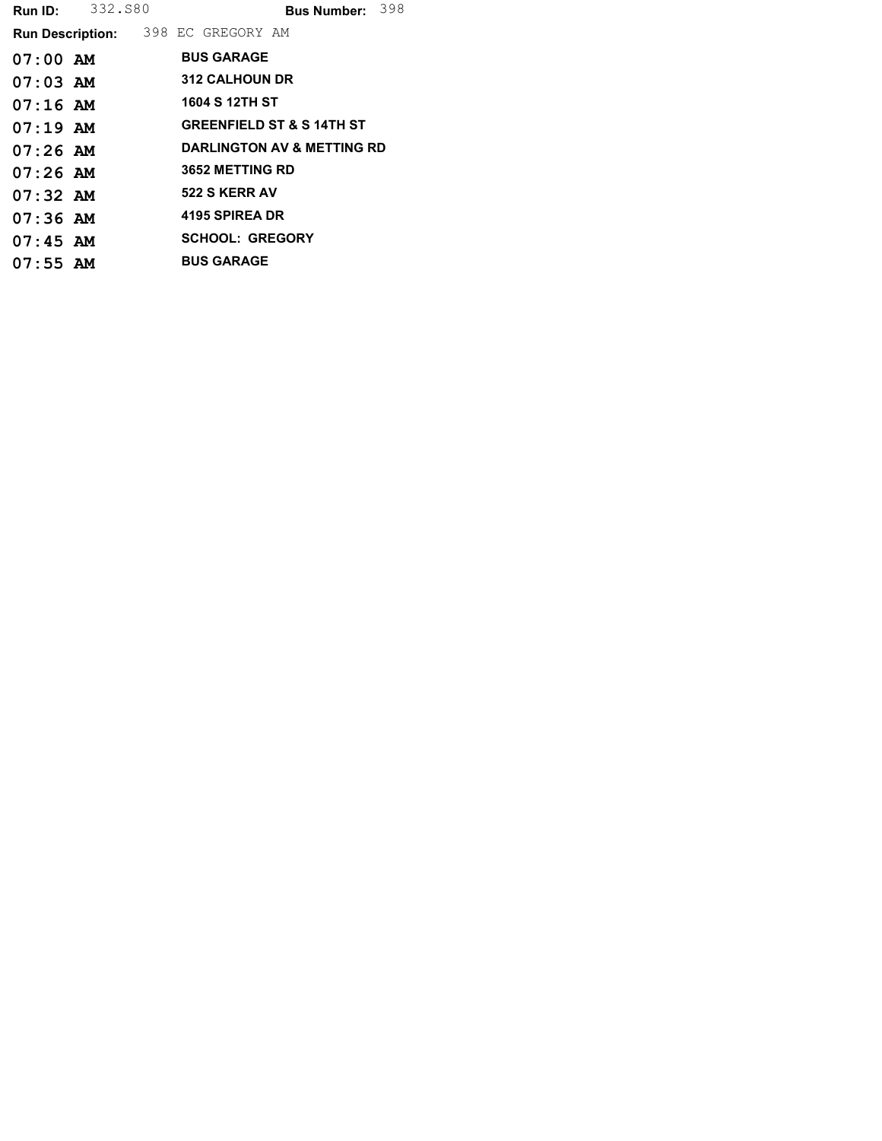| Run ID:    | 332.S80 |                                           | Bus Number: 398                      |  |
|------------|---------|-------------------------------------------|--------------------------------------|--|
|            |         | <b>Run Description:</b> 398 EC GREGORY AM |                                      |  |
| $07:00$ AM |         | <b>BUS GARAGE</b>                         |                                      |  |
| $07:03$ AM |         | <b>312 CALHOUN DR</b>                     |                                      |  |
| $07:16$ AM |         | 1604 S 12TH ST                            |                                      |  |
| $07:19$ AM |         |                                           | <b>GREENFIELD ST &amp; S 14TH ST</b> |  |
| $07:26$ AM |         |                                           | DARLINGTON AV & METTING RD           |  |
| $07:26$ AM |         | <b>3652 METTING RD</b>                    |                                      |  |
| $07:32$ AM |         | 522 S KERR AV                             |                                      |  |
| $07:36$ AM |         | 4195 SPIREA DR                            |                                      |  |
| $07:45$ AM |         | <b>SCHOOL: GREGORY</b>                    |                                      |  |
| $07:55$ AM |         | <b>BUS GARAGE</b>                         |                                      |  |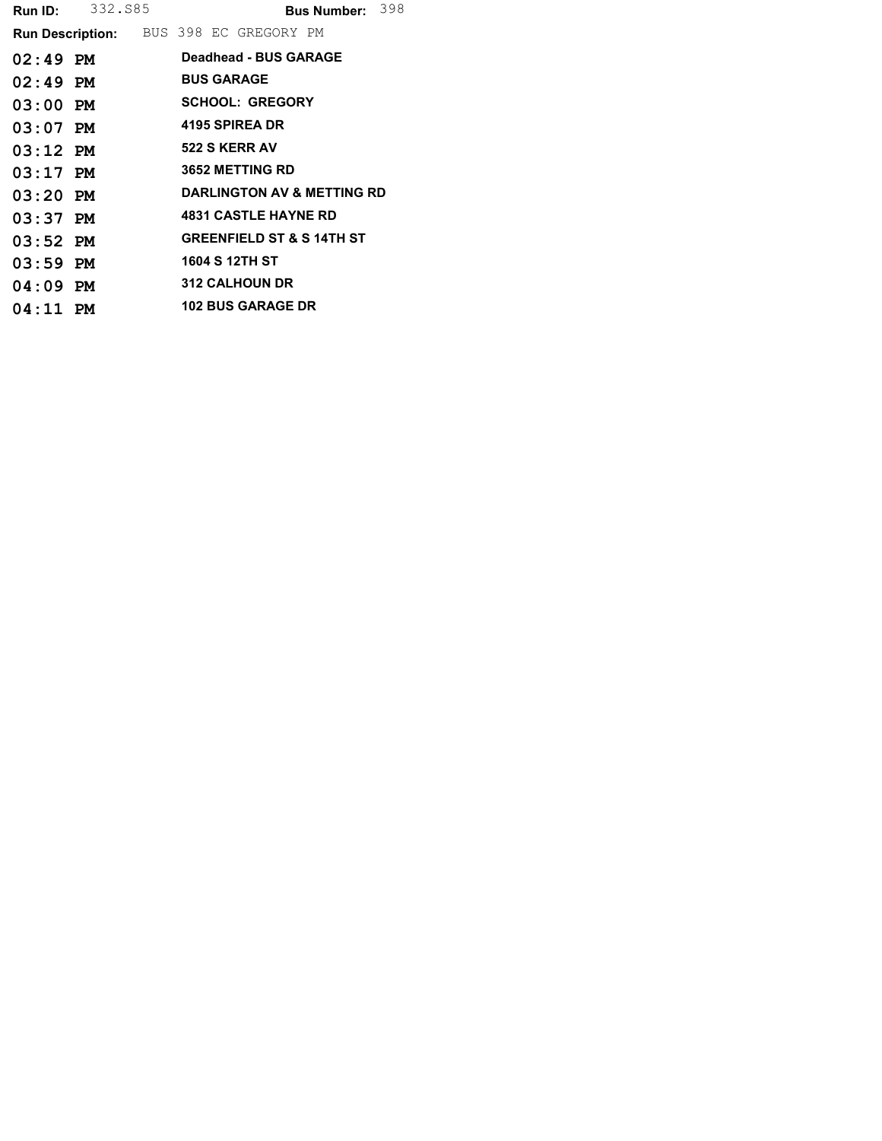| Run ID:    | 332.885                                       | Bus Number: 398 |  |  |                             |                                       |  |
|------------|-----------------------------------------------|-----------------|--|--|-----------------------------|---------------------------------------|--|
|            | <b>Run Description:</b> BUS 398 EC GREGORY PM |                 |  |  |                             |                                       |  |
| $02:49$ PM |                                               |                 |  |  | Deadhead - BUS GARAGE       |                                       |  |
| $02:49$ PM |                                               |                 |  |  | <b>BUS GARAGE</b>           |                                       |  |
| $03:00$ PM |                                               |                 |  |  | <b>SCHOOL: GREGORY</b>      |                                       |  |
| $03:07$ PM |                                               |                 |  |  | 4195 SPIREA DR              |                                       |  |
| $03:12$ PM |                                               |                 |  |  | 522 S KERR AV               |                                       |  |
| $03:17$ PM |                                               |                 |  |  | <b>3652 METTING RD</b>      |                                       |  |
| $03:20$ PM |                                               |                 |  |  |                             | <b>DARLINGTON AV &amp; METTING RD</b> |  |
| $03:37$ PM |                                               |                 |  |  | <b>4831 CASTLE HAYNE RD</b> |                                       |  |
| $03:52$ PM |                                               |                 |  |  |                             | <b>GREENFIELD ST &amp; S 14TH ST</b>  |  |
| $03:59$ PM |                                               |                 |  |  | 1604 S 12TH ST              |                                       |  |
| $04:09$ PM |                                               |                 |  |  | <b>312 CALHOUN DR</b>       |                                       |  |
| $04:11$ PM |                                               |                 |  |  | <b>102 BUS GARAGE DR</b>    |                                       |  |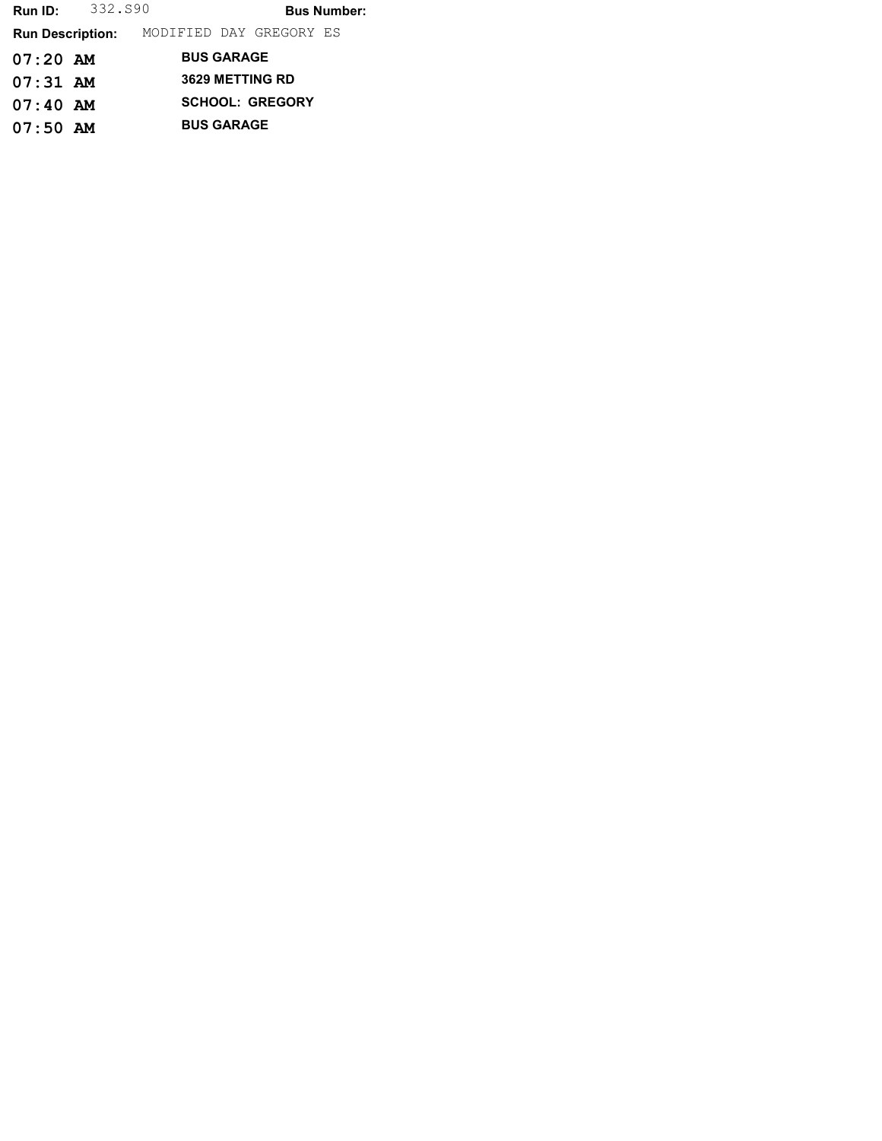**Run ID:** 332.S90 **Bus Number:** Run Description: MODIFIED DAY GREGORY ES 07:20 AM BUS GARAGE 07:31 AM 3629 METTING RD 07:40 AM SCHOOL: GREGORY 07:50 AM BUS GARAGE